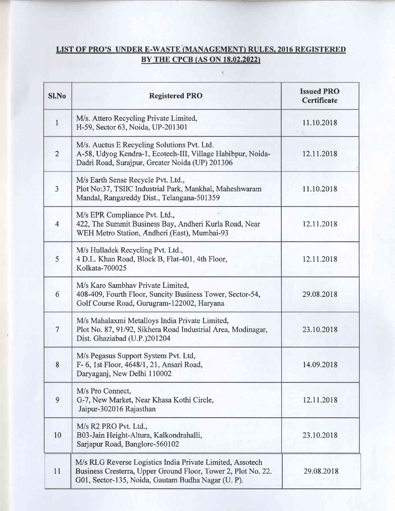## LIST OF PRO'S UNDER E-WASTE (MANAGEMENT) RULES, 2016 REGISTERED BY THE CPCB (AS ON 18.02.2022)

 $\mathfrak{t}$ 

| <b>SI.No</b>   | <b>Registered PRO</b>                                                                                                                                                            | <b>Issued PRO</b><br><b>Certificate</b> |
|----------------|----------------------------------------------------------------------------------------------------------------------------------------------------------------------------------|-----------------------------------------|
| $\mathbf{1}$   | M/s. Attero Recycling Private Limited,<br>H-59, Sector 63, Noida, UP-201301                                                                                                      | 11.10.2018                              |
| $\overline{2}$ | M/s. Auctus E Recycling Solutions Pvt. Ltd.<br>A-58, Udyog Kendra-1, Ecotech-III, Village Habibpur, Noida-<br>Dadri Road, Surajpur, Greater Noida (UP) 201306                    | 12.11.2018                              |
| $\overline{3}$ | M/s Earth Sense Recycle Pvt. Ltd.,<br>Plot No:37, TSIIC Industrial Park, Mankhal, Maheshwaram<br>Mandal, Rangareddy Dist., Telangana-501359                                      | 11.10.2018                              |
| $\overline{4}$ | M/s EPR Compliance Pvt. Ltd.,<br>422, The Summit Business Bay, Andheri Kurla Road, Near<br>WEH Metro Station, Andheri (East), Mumbai-93                                          | 12.11.2018                              |
| 5              | M/s Hulladek Recycling Pvt. Ltd.,<br>4 D.L. Khan Road, Block B, Flat-401, 4th Floor,<br>Kolkata-700025                                                                           | 12.11.2018                              |
| 6              | M/s Karo Sambhav Private Limited,<br>408-409, Fourth Floor, Suncity Business Tower, Sector-54,<br>Golf Course Road, Gurugram-122002, Haryana                                     | 29.08.2018                              |
| $\overline{7}$ | M/s Mahalaxmi Metalloys India Private Limited,<br>Plot No. 87, 91/92, Sikhera Road Industrial Area, Modinagar,<br>Dist. Ghaziabad (U.P.)201204                                   | 23.10.2018                              |
| 8              | M/s Pegasus Support System Pvt. Ltd,<br>F- 6, 1st Floor, 4648/1, 21, Ansari Road,<br>Daryaganj, New Delhi 110002                                                                 | 14.09.2018                              |
| 9              | M/s Pro Connect,<br>G-7, New Market, Near Khasa Kothi Circle,<br>Jaipur-302016 Rajasthan                                                                                         | 12.11.2018                              |
| 10             | M/s R2 PRO Pvt. Ltd.,<br>B03-Jain Height-Altura, Kalkondrahalli,<br>Sarjapur Road, Banglore-560102                                                                               | 23.10.2018                              |
| 11             | M/s RLG Reverse Logistics India Private Limited, Assotech<br>Business Cresterra, Upper Ground Floor, Tower 2, Plot No. 22.<br>G01, Sector-135, Noida, Gautam Budha Nagar (U. P). | 29.08.2018                              |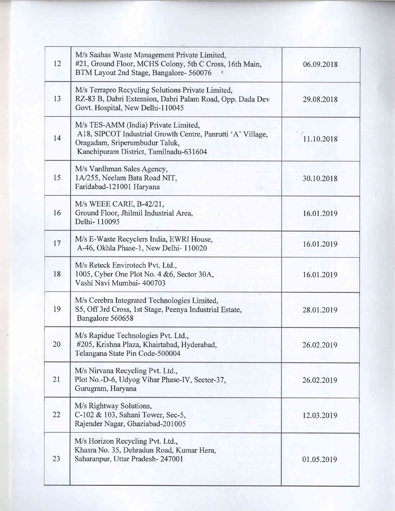| 12 | M/s Saahas Waste Management Private Limited,<br>#21, Ground Floor, MCHS Colony, 5th C Cross, 16th Main,<br>BTM Layout 2nd Stage, Bangalore- 560076                              | 06.09.2018 |
|----|---------------------------------------------------------------------------------------------------------------------------------------------------------------------------------|------------|
| 13 | M/s Terrapro Recycling Solutions Private Limited,<br>RZ-83 B, Dabri Extension, Dabri Palam Road, Opp. Dada Dev<br>Govt. Hospital, New Delhi-110045                              | 29.08.2018 |
| 14 | M/s TES-AMM (India) Private Limited,<br>A18, SIPCOT Industrial Growth Centre, Panrutti 'A' Village,<br>Oragadam, Sriperumbudur Taluk,<br>Kanchipuram District, Tamilnadu-631604 | 11.10.2018 |
| 15 | M/s Vardhman Sales Agency,<br>1A/255, Neelam Bata Road NIT,<br>Faridabad-121001 Haryana                                                                                         | 30.10.2018 |
| 16 | M/s WEEE CARE, B-42/21,<br>Ground Floor, Jhilmil Industrial Area,<br>Delhi-110095                                                                                               | 16.01.2019 |
| 17 | M/s E-Waste Recyclers India, EWRI House,<br>A-46, Okhla Phase-1, New Delhi-110020                                                                                               | 16.01.2019 |
| 18 | M/s Reteck Envirotech Pvt. Ltd.,<br>1005, Cyber One Plot No. 4 & 6, Sector 30A,<br>Vashi Navi Mumbai- 400703                                                                    | 16.01.2019 |
| 19 | M/s Cerebra Integrated Technologies Limited,<br>S5, Off 3rd Cross, 1st Stage, Peenya Industrial Estate,<br>Bangalore 560658                                                     | 28.01.2019 |
| 20 | M/s Rapidue Technologies Pvt. Ltd.,<br>#205, Krishna Plaza, Khairtabad, Hyderabad,<br>Telangana State Pin Code-500004                                                           | 26.02.2019 |
| 21 | M/s Nirvana Recycling Pvt. Ltd.,<br>Plot No.-D-6, Udyog Vihar Phase-IV, Sector-37,<br>Gurugram, Haryana                                                                         | 26.02.2019 |
| 22 | M/s Rightway Solutions,<br>C-102 & 103, Sahani Tower, Sec-5,<br>Rajender Nagar, Ghaziabad-201005                                                                                | 12.03.2019 |
| 23 | M/s Horizon Recycling Pvt. Ltd.,<br>Khasra No. 35, Dehradun Road, Kumar Hera,<br>Saharanpur, Uttar Pradesh-247001                                                               | 01.05.2019 |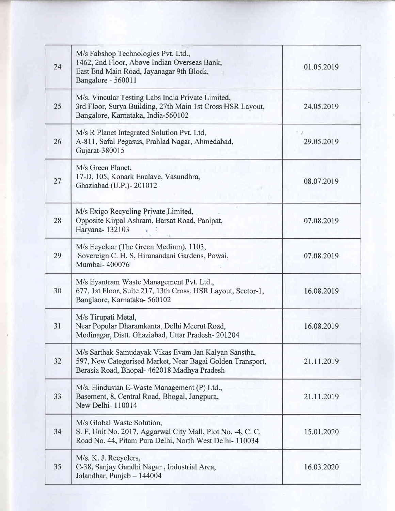| 24 | M/s Fabshop Technologies Pvt. Ltd.,<br>1462, 2nd Floor, Above Indian Overseas Bank,<br>East End Main Road, Jayanagar 9th Block,<br>Bangalore - 560011            | 01.05.2019 |
|----|------------------------------------------------------------------------------------------------------------------------------------------------------------------|------------|
| 25 | M/s. Vincular Testing Labs India Private Limited,<br>3rd Floor, Surya Building, 27th Main 1st Cross HSR Layout,<br>Bangalore, Karnataka, India-560102            | 24.05.2019 |
| 26 | M/s R Planet Integrated Solution Pvt. Ltd,<br>A-811, Safal Pegasus, Prahlad Nagar, Ahmedabad,<br>Gujarat-380015                                                  | 29.05.2019 |
| 27 | M/s Green Planet,<br>17-D, 105, Konark Enclave, Vasundhra,<br>Ghaziabad (U.P.)-201012                                                                            | 08.07.2019 |
| 28 | M/s Exigo Recycling Private Limited,<br>Opposite Kirpal Ashram, Barsat Road, Panipat,<br>Haryana-132103                                                          | 07.08.2019 |
| 29 | M/s Ecyclear (The Green Medium), 1103,<br>Sovereign C. H. S, Hiranandani Gardens, Powai,<br>Mumbai-400076                                                        | 07.08.2019 |
| 30 | M/s Eyantram Waste Management Pvt. Ltd.,<br>677, 1st Floor, Suite 217, 13th Cross, HSR Layout, Sector-1,<br>Banglaore, Karnataka-560102                          | 16.08.2019 |
| 31 | M/s Tirupati Metal,<br>Near Popular Dharamkanta, Delhi Meerut Road,<br>Modinagar, Distt. Ghaziabad, Uttar Pradesh-201204                                         | 16.08.2019 |
| 32 | M/s Sarthak Samudayak Vikas Evam Jan Kalyan Sanstha,<br>597, New Categorised Market, Near Bagai Golden Transport,<br>Berasia Road, Bhopal- 462018 Madhya Pradesh | 21.11.2019 |
| 33 | M/s. Hindustan E-Waste Management (P) Ltd.,<br>Basement, 8, Central Road, Bhogal, Jangpura,<br>New Delhi-110014                                                  | 21.11.2019 |
| 34 | M/s Global Waste Solution,<br>S. F, Unit No. 2017, Aggarwal City Mall, Plot No. -4, C. C.<br>Road No. 44, Pitam Pura Delhi, North West Delhi- 110034             | 15.01.2020 |
| 35 | M/s. K. J. Recyclers,<br>C-38, Sanjay Gandhi Nagar, Industrial Area,<br>Jalandhar, Punjab - 144004                                                               | 16.03.2020 |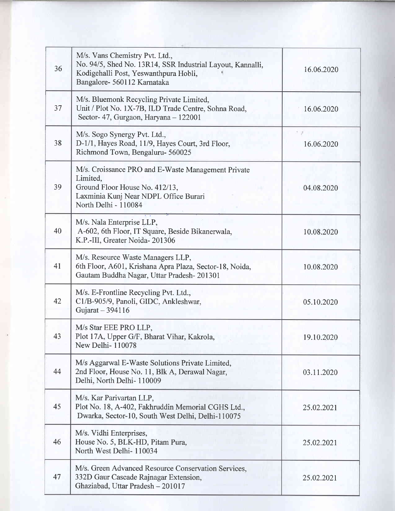| 36 | M/s. Vans Chemistry Pvt. Ltd.,<br>No. 94/5, Shed No. 13R14, SSR Industrial Layout, Kannalli,<br>Kodigehalli Post, Yeswanthpura Hobli,<br>Bangalore- 560112 Karnataka | 16.06.2020 |
|----|----------------------------------------------------------------------------------------------------------------------------------------------------------------------|------------|
| 37 | M/s. Bluemonk Recycling Private Limited,<br>Unit / Plot No. 1X-7B, ILD Trade Centre, Sohna Road,<br>Sector-47, Gurgaon, Haryana - 122001                             | 16.06.2020 |
| 38 | M/s. Sogo Synergy Pvt. Ltd.,<br>D-1/1, Hayes Road, 11/9, Hayes Court, 3rd Floor,<br>Richmond Town, Bengaluru- 560025                                                 | 16.06.2020 |
| 39 | M/s. Croissance PRO and E-Waste Management Private<br>Limited,<br>Ground Floor House No. 412/13,<br>Laxminia Kunj Near NDPL Office Burari<br>North Delhi - 110084    | 04.08.2020 |
| 40 | M/s. Nala Enterprise LLP,<br>A-602, 6th Floor, IT Square, Beside Bikanerwala,<br>K.P.-III, Greater Noida-201306                                                      | 10.08.2020 |
| 41 | M/s. Resource Waste Managers LLP,<br>6th Floor, A601, Krishana Apra Plaza, Sector-18, Noida,<br>Gautam Buddha Nagar, Uttar Pradesh-201301                            | 10.08.2020 |
| 42 | M/s. E-Frontline Recycling Pvt. Ltd.,<br>C1/B-905/9, Panoli, GIDC, Ankleshwar,<br>Gujarat - 394116                                                                   | 05.10.2020 |
| 43 | M/s Star EEE PRO LLP,<br>Plot 17A, Upper G/F, Bharat Vihar, Kakrola,<br>New Delhi-110078                                                                             | 19.10.2020 |
| 44 | M/s Aggarwal E-Waste Solutions Private Limited,<br>2nd Floor, House No. 11, Blk A, Derawal Nagar,<br>Delhi, North Delhi-110009                                       | 03.11.2020 |
| 45 | M/s. Kar Parivartan LLP,<br>Plot No. 18, A-402, Fakhruddin Memorial CGHS Ltd.,<br>Dwarka, Sector-10, South West Delhi, Delhi-110075                                  | 25.02.2021 |
| 46 | M/s. Vidhi Enterprises,<br>House No. 5, BLK-HD, Pitam Pura,<br>North West Delhi-110034                                                                               | 25.02.2021 |
| 47 | M/s. Green Advanced Resource Conservation Services,<br>332D Gaur Cascade Rajnagar Extension,<br>Ghaziabad, Uttar Pradesh - 201017                                    | 25.02.2021 |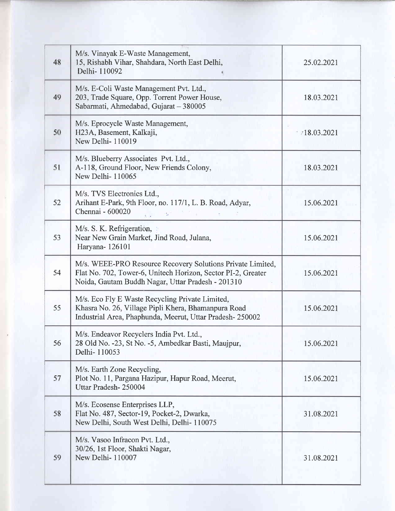| 48 | M/s. Vinayak E-Waste Management,<br>15, Rishabh Vihar, Shahdara, North East Delhi,<br>Delhi-110092                                                                              | 25.02.2021 |
|----|---------------------------------------------------------------------------------------------------------------------------------------------------------------------------------|------------|
| 49 | M/s. E-Coli Waste Management Pvt. Ltd.,<br>203, Trade Square, Opp. Torrent Power House,<br>Sabarmati, Ahmedabad, Gujarat - 380005                                               | 18.03.2021 |
| 50 | M/s. Eprocycle Waste Management,<br>H23A, Basement, Kalkaji,<br>New Delhi-110019                                                                                                | 18.03.2021 |
| 51 | M/s. Blueberry Associates Pvt. Ltd.,<br>A-118, Ground Floor, New Friends Colony,<br>New Delhi-110065                                                                            | 18.03.2021 |
| 52 | M/s. TVS Electronics Ltd.,<br>Arihant E-Park, 9th Floor, no. 117/1, L. B. Road, Adyar,<br>Chennai - 600020                                                                      | 15.06.2021 |
| 53 | M/s. S. K. Refrigeration,<br>Near New Grain Market, Jind Road, Julana,<br>Haryana-126101                                                                                        | 15.06.2021 |
| 54 | M/s. WEEE-PRO Resource Recovery Solutions Private Limited,<br>Flat No. 702, Tower-6, Unitech Horizon, Sector PI-2, Greater<br>Noida, Gautam Buddh Nagar, Uttar Pradesh - 201310 | 15.06.2021 |
| 55 | M/s. Eco Fly E Waste Recycling Private Limited,<br>Khasra No. 26, Village Pipli Khera, Bhamanpura Road<br>Industrial Area, Phaphunda, Meerut, Uttar Pradesh-250002              | 15.06.2021 |
| 56 | M/s. Endeavor Recyclers India Pvt. Ltd.,<br>28 Old No. -23, St No. -5, Ambedkar Basti, Maujpur,<br>Delhi-110053                                                                 | 15.06.2021 |
| 57 | M/s. Earth Zone Recycling,<br>Plot No. 11, Pargana Hazipur, Hapur Road, Meerut,<br>Uttar Pradesh-250004                                                                         | 15.06.2021 |
| 58 | M/s. Ecosense Enterprises LLP,<br>Flat No. 487, Sector-19, Pocket-2, Dwarka,<br>New Delhi, South West Delhi, Delhi- 110075                                                      | 31.08.2021 |
| 59 | M/s. Vasoo Infracon Pvt. Ltd.,<br>30/26, 1st Floor, Shakti Nagar,<br>New Delhi-110007                                                                                           | 31.08.2021 |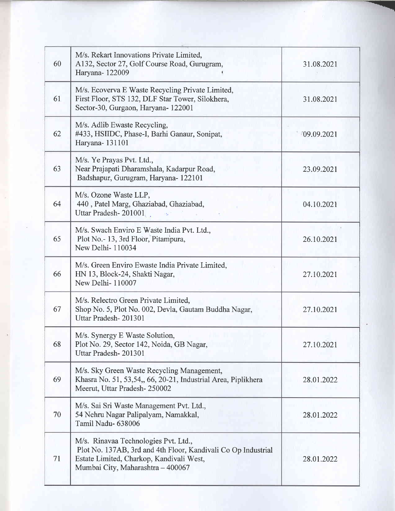| 60 | M/s. Rekart Innovations Private Limited,<br>A132, Sector 27, Golf Course Road, Gurugram,<br>Haryana-122009                                                                             | 31.08.2021  |
|----|----------------------------------------------------------------------------------------------------------------------------------------------------------------------------------------|-------------|
| 61 | M/s. Ecoverva E Waste Recycling Private Limited,<br>First Floor, STS 132, DLF Star Tower, Silokhera,<br>Sector-30, Gurgaon, Haryana- 122001                                            | 31.08.2021  |
| 62 | M/s. Adlib Ewaste Recycling,<br>#433, HSIIDC, Phase-I, Barhi Ganaur, Sonipat,<br>Haryana-131101                                                                                        | 109.09.2021 |
| 63 | M/s. Ye Prayas Pvt. Ltd.,<br>Near Prajapati Dharamshala, Kadarpur Road,<br>Badshapur, Gurugram, Haryana- 122101                                                                        | 23.09.2021  |
| 64 | M/s. Ozone Waste LLP,<br>440, Patel Marg, Ghaziabad, Ghaziabad,<br>Uttar Pradesh-201001.                                                                                               | 04.10.2021  |
| 65 | M/s. Swach Enviro E Waste India Pvt. Ltd.,<br>Plot No.- 13, 3rd Floor, Pitampura,<br>New Delhi-110034                                                                                  | 26.10.2021  |
| 66 | M/s. Green Enviro Ewaste India Private Limited,<br>HN 13, Block-24, Shakti Nagar,<br>New Delhi-110007                                                                                  | 27.10.2021  |
| 67 | M/s. Relectro Green Private Limited,<br>Shop No. 5, Plot No. 002, Devla, Gautam Buddha Nagar,<br>Uttar Pradesh-201301                                                                  | 27.10.2021  |
| 68 | M/s. Synergy E Waste Solution,<br>Plot No. 29, Sector 142, Noida, GB Nagar,<br>Uttar Pradesh-201301                                                                                    | 27.10.2021  |
| 69 | M/s. Sky Green Waste Recycling Management,<br>Khasra No. 51, 53,54,, 66, 20-21, Industrial Area, Piplikhera<br>Meerut, Uttar Pradesh-250002                                            | 28.01.2022  |
| 70 | M/s. Sai Sri Waste Management Pvt. Ltd.,<br>54 Nehru Nagar Palipalyam, Namakkal,<br>Tamil Nadu-638006                                                                                  | 28.01.2022  |
| 71 | M/s. Rinavaa Technologies Pvt. Ltd.,<br>Plot No. 137AB, 3rd and 4th Floor, Kandivali Co Op Industrial<br>Estate Limited, Charkop, Kandivali West,<br>Mumbai City, Maharashtra - 400067 | 28.01.2022  |